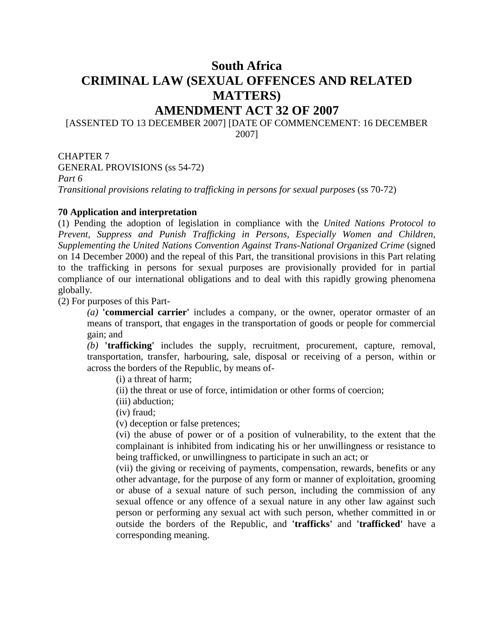# **South Africa CRIMINAL LAW (SEXUAL OFFENCES AND RELATED MATTERS)**

### **AMENDMENT ACT 32 OF 2007**

#### [ASSENTED TO 13 DECEMBER 2007] [DATE OF COMMENCEMENT: 16 DECEMBER 2007]

CHAPTER 7 GENERAL PROVISIONS (ss 54-72)

*Part 6*

*Transitional provisions relating to trafficking in persons for sexual purposes* (ss 70-72)

#### **70 Application and interpretation**

(1) Pending the adoption of legislation in compliance with the *United Nations Protocol to Prevent, Suppress and Punish Trafficking in Persons, Especially Women and Children, Supplementing the United Nations Convention Against Trans-National Organized Crime* (signed on 14 December 2000) and the repeal of this Part, the transitional provisions in this Part relating to the trafficking in persons for sexual purposes are provisionally provided for in partial compliance of our international obligations and to deal with this rapidly growing phenomena globally.

(2) For purposes of this Part-

*(a)* **'commercial carrier'** includes a company, or the owner, operator ormaster of an means of transport, that engages in the transportation of goods or people for commercial gain; and

*(b)* **'trafficking'** includes the supply, recruitment, procurement, capture, removal, transportation, transfer, harbouring, sale, disposal or receiving of a person, within or across the borders of the Republic, by means of-

(i) a threat of harm;

(ii) the threat or use of force, intimidation or other forms of coercion;

(iii) abduction;

(iv) fraud;

(v) deception or false pretences;

(vi) the abuse of power or of a position of vulnerability, to the extent that the complainant is inhibited from indicating his or her unwillingness or resistance to being trafficked, or unwillingness to participate in such an act; or

(vii) the giving or receiving of payments, compensation, rewards, benefits or any other advantage, for the purpose of any form or manner of exploitation, grooming or abuse of a sexual nature of such person, including the commission of any sexual offence or any offence of a sexual nature in any other law against such person or performing any sexual act with such person, whether committed in or outside the borders of the Republic, and **'trafficks'** and **'trafficked'** have a corresponding meaning.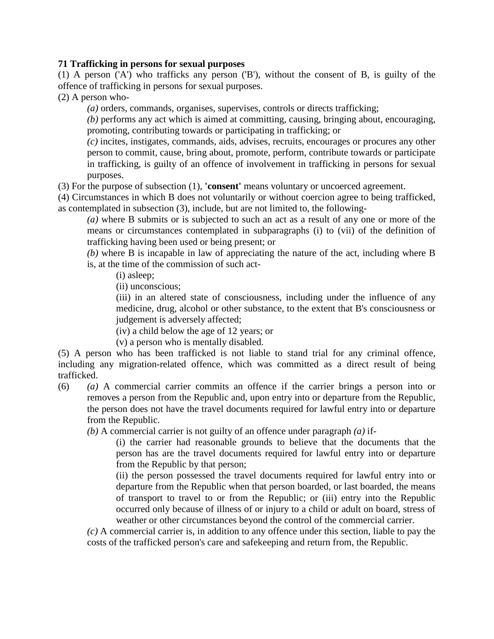#### **71 Trafficking in persons for sexual purposes**

(1) A person ('A') who trafficks any person ('B'), without the consent of B, is guilty of the offence of trafficking in persons for sexual purposes.

(2) A person who-

*(a)* orders, commands, organises, supervises, controls or directs trafficking;

*(b)* performs any act which is aimed at committing, causing, bringing about, encouraging, promoting, contributing towards or participating in trafficking; or

*(c)* incites, instigates, commands, aids, advises, recruits, encourages or procures any other person to commit, cause, bring about, promote, perform, contribute towards or participate in trafficking, is guilty of an offence of involvement in trafficking in persons for sexual purposes.

(3) For the purpose of subsection (1), **'consent'** means voluntary or uncoerced agreement.

(4) Circumstances in which B does not voluntarily or without coercion agree to being trafficked, as contemplated in subsection (3), include, but are not limited to, the following-

*(a)* where B submits or is subjected to such an act as a result of any one or more of the means or circumstances contemplated in subparagraphs (i) to (vii) of the definition of trafficking having been used or being present; or

*(b)* where B is incapable in law of appreciating the nature of the act, including where B is, at the time of the commission of such act-

(i) asleep;

(ii) unconscious;

(iii) in an altered state of consciousness, including under the influence of any medicine, drug, alcohol or other substance, to the extent that B's consciousness or judgement is adversely affected;

(iv) a child below the age of 12 years; or

(v) a person who is mentally disabled.

(5) A person who has been trafficked is not liable to stand trial for any criminal offence, including any migration-related offence, which was committed as a direct result of being trafficked.

(6) *(a)* A commercial carrier commits an offence if the carrier brings a person into or removes a person from the Republic and, upon entry into or departure from the Republic, the person does not have the travel documents required for lawful entry into or departure from the Republic.

*(b)* A commercial carrier is not guilty of an offence under paragraph *(a)* if-

(i) the carrier had reasonable grounds to believe that the documents that the person has are the travel documents required for lawful entry into or departure from the Republic by that person;

(ii) the person possessed the travel documents required for lawful entry into or departure from the Republic when that person boarded, or last boarded, the means of transport to travel to or from the Republic; or (iii) entry into the Republic occurred only because of illness of or injury to a child or adult on board, stress of weather or other circumstances beyond the control of the commercial carrier.

*(c)* A commercial carrier is, in addition to any offence under this section, liable to pay the costs of the trafficked person's care and safekeeping and return from, the Republic.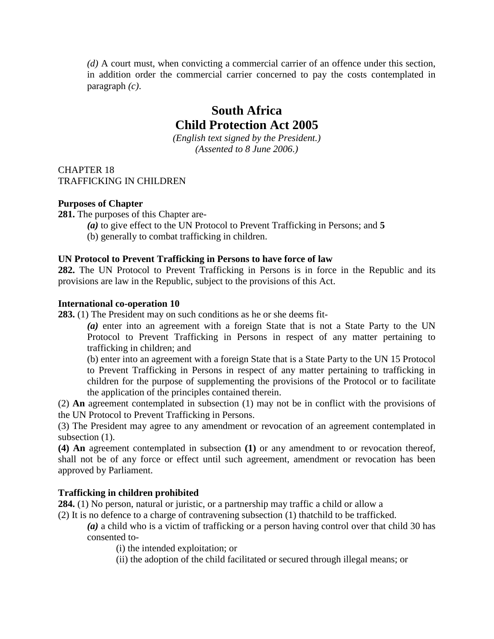*(d)* A court must, when convicting a commercial carrier of an offence under this section, in addition order the commercial carrier concerned to pay the costs contemplated in paragraph *(c)*.

## **South Africa Child Protection Act 2005**

*(English text signed by the President.) (Assented to 8 June 2006.)*

CHAPTER 18 TRAFFICKING IN CHILDREN

#### **Purposes of Chapter**

**281.** The purposes of this Chapter are-

- *(a)* to give effect to the UN Protocol to Prevent Trafficking in Persons; and **5**
- (b) generally to combat trafficking in children.

#### **UN Protocol to Prevent Trafficking in Persons to have force of law**

**282.** The UN Protocol to Prevent Trafficking in Persons is in force in the Republic and its provisions are law in the Republic, subject to the provisions of this Act.

#### **International co-operation 10**

**283.** (1) The President may on such conditions as he or she deems fit-

*(a)* enter into an agreement with a foreign State that is not a State Party to the UN Protocol to Prevent Trafficking in Persons in respect of any matter pertaining to trafficking in children; and

(b) enter into an agreement with a foreign State that is a State Party to the UN 15 Protocol to Prevent Trafficking in Persons in respect of any matter pertaining to trafficking in children for the purpose of supplementing the provisions of the Protocol or to facilitate the application of the principles contained therein.

(2) **An** agreement contemplated in subsection (1) may not be in conflict with the provisions of the UN Protocol to Prevent Trafficking in Persons.

(3) The President may agree to any amendment or revocation of an agreement contemplated in subsection  $(1)$ .

**(4) An** agreement contemplated in subsection **(1)** or any amendment to or revocation thereof, shall not be of any force or effect until such agreement, amendment or revocation has been approved by Parliament.

#### **Trafficking in children prohibited**

**284.** (1) No person, natural or juristic, or a partnership may traffic a child or allow a

(2) It is no defence to a charge of contravening subsection (1) thatchild to be trafficked.

*(a)* a child who is a victim of trafficking or a person having control over that child 30 has consented to-

(i) the intended exploitation; or

(ii) the adoption of the child facilitated or secured through illegal means; or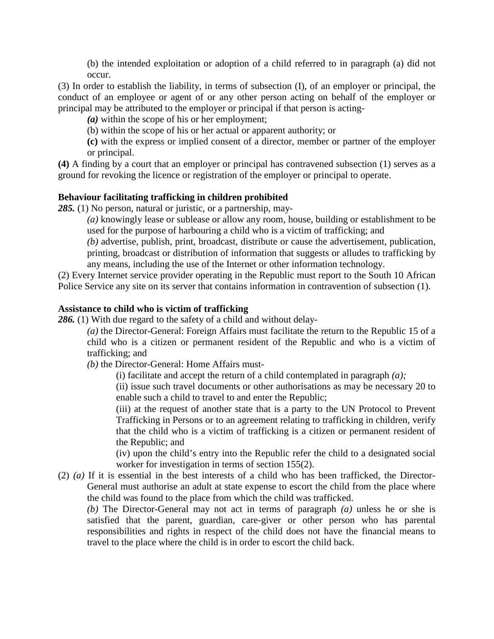(b) the intended exploitation or adoption of a child referred to in paragraph (a) did not occur.

(3) In order to establish the liability, in terms of subsection (I), of an employer or principal, the conduct of an employee or agent of or any other person acting on behalf of the employer or principal may be attributed to the employer or principal if that person is acting-

*(a)* within the scope of his or her employment;

(b) within the scope of his or her actual or apparent authority; or

**(c)** with the express or implied consent of a director, member or partner of the employer or principal.

**(4)** A finding by a court that an employer or principal has contravened subsection (1) serves as a ground for revoking the licence or registration of the employer or principal to operate.

#### **Behaviour facilitating trafficking in children prohibited**

*285.* (1) No person, natural or juristic, or a partnership, may-

*(a)* knowingly lease or sublease or allow any room, house, building or establishment to be used for the purpose of harbouring a child who is a victim of trafficking; and

*(b)* advertise, publish, print, broadcast, distribute or cause the advertisement, publication, printing, broadcast or distribution of information that suggests or alludes to trafficking by any means, including the use of the Internet or other information technology.

(2) Every Internet service provider operating in the Republic must report to the South 10 African Police Service any site on its server that contains information in contravention of subsection (1).

#### **Assistance to child who is victim of trafficking**

286. (1) With due regard to the safety of a child and without delay-

*(a)* the Director-General: Foreign Affairs must facilitate the return to the Republic 15 of a child who is a citizen or permanent resident of the Republic and who is a victim of trafficking; and

*(b)* the Director-General: Home Affairs must-

(i) facilitate and accept the return of a child contemplated in paragraph *(a);*

(ii) issue such travel documents or other authorisations as may be necessary 20 to enable such a child to travel to and enter the Republic;

(iii) at the request of another state that is a party to the UN Protocol to Prevent Trafficking in Persons or to an agreement relating to trafficking in children, verify that the child who is a victim of trafficking is a citizen or permanent resident of the Republic; and

(iv) upon the child's entry into the Republic refer the child to a designated social worker for investigation in terms of section 155(2).

(2) *(a)* If it is essential in the best interests of a child who has been trafficked, the Director-General must authorise an adult at state expense to escort the child from the place where the child was found to the place from which the child was trafficked.

*(b)* The Director-General may not act in terms of paragraph *(a)* unless he or she is satisfied that the parent, guardian, care-giver or other person who has parental responsibilities and rights in respect of the child does not have the financial means to travel to the place where the child is in order to escort the child back.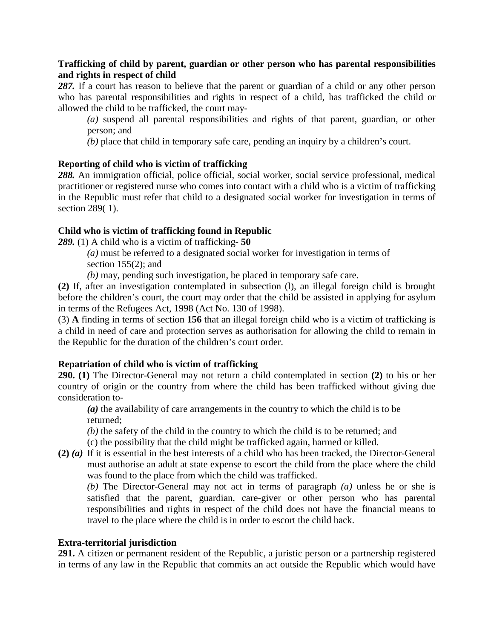#### **Trafficking of child by parent, guardian or other person who has parental responsibilities and rights in respect of child**

287. If a court has reason to believe that the parent or guardian of a child or any other person who has parental responsibilities and rights in respect of a child, has trafficked the child or allowed the child to be trafficked, the court may-

*(a)* suspend all parental responsibilities and rights of that parent, guardian, or other person; and

*(b)* place that child in temporary safe care, pending an inquiry by a children's court.

#### **Reporting of child who is victim of trafficking**

*288.* An immigration official, police official, social worker, social service professional, medical practitioner or registered nurse who comes into contact with a child who is a victim of trafficking in the Republic must refer that child to a designated social worker for investigation in terms of section 289( 1).

#### **Child who is victim of trafficking found in Republic**

*289.* (1) A child who is a victim of trafficking- **50**

*(a)* must be referred to a designated social worker for investigation in terms of section  $155(2)$ ; and

*(b)* may, pending such investigation, be placed in temporary safe care.

**(2)** If, after an investigation contemplated in subsection (l), an illegal foreign child is brought before the children's court, the court may order that the child be assisted in applying for asylum in terms of the Refugees Act, 1998 (Act No. 130 of 1998).

(3) **A** finding in terms of section **156** that an illegal foreign child who is a victim of trafficking is a child in need of care and protection serves as authorisation for allowing the child to remain in the Republic for the duration of the children's court order.

#### **Repatriation of child who is victim of trafficking**

**290. (1)** The Director-General may not return a child contemplated in section **(2)** to his or her country of origin or the country from where the child has been trafficked without giving due consideration to-

*(a)* the availability of care arrangements in the country to which the child is to be returned;

*(b)* the safety of the child in the country to which the child is to be returned; and

(c) the possibility that the child might be trafficked again, harmed or killed.

**(2)** *(a)* If it is essential in the best interests of a child who has been tracked, the Director-General must authorise an adult at state expense to escort the child from the place where the child was found to the place from which the child was trafficked.

*(b)* The Director-General may not act in terms of paragraph *(a)* unless he or she is satisfied that the parent, guardian, care-giver or other person who has parental responsibilities and rights in respect of the child does not have the financial means to travel to the place where the child is in order to escort the child back.

#### **Extra-territorial jurisdiction**

**291.** A citizen or permanent resident of the Republic, a juristic person or a partnership registered in terms of any law in the Republic that commits an act outside the Republic which would have